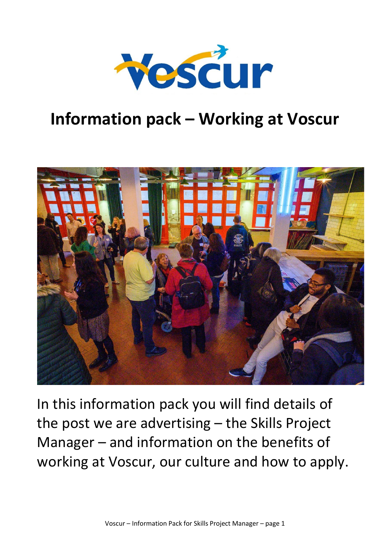

# **Information pack – Working at Voscur**



In this information pack you will find details of the post we are advertising – the Skills Project Manager – and information on the benefits of working at Voscur, our culture and how to apply.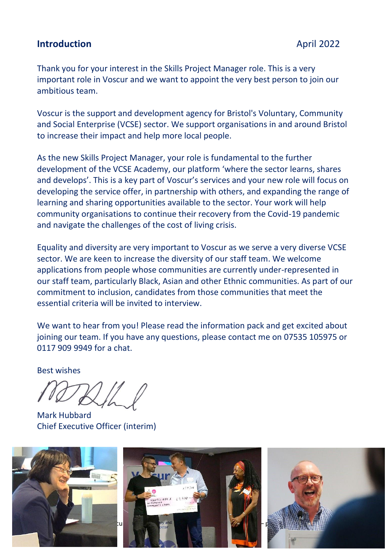### **Introduction April 2022**

Thank you for your interest in the Skills Project Manager role. This is a very important role in Voscur and we want to appoint the very best person to join our ambitious team.

Voscur is the support and development agency for Bristol's Voluntary, Community and Social Enterprise (VCSE) sector. We support organisations in and around Bristol to increase their impact and help more local people.

As the new Skills Project Manager, your role is fundamental to the further development of the VCSE Academy, our platform 'where the sector learns, shares and develops'. This is a key part of Voscur's services and your new role will focus on developing the service offer, in partnership with others, and expanding the range of learning and sharing opportunities available to the sector. Your work will help community organisations to continue their recovery from the Covid-19 pandemic and navigate the challenges of the cost of living crisis.

Equality and diversity are very important to Voscur as we serve a very diverse VCSE sector. We are keen to increase the diversity of our staff team. We welcome applications from people whose communities are currently under-represented in our staff team, particularly Black, Asian and other Ethnic communities. As part of our commitment to inclusion, candidates from those communities that meet the essential criteria will be invited to interview.

We want to hear from you! Please read the information pack and get excited about joining our team. If you have any questions, please contact me on 07535 105975 or 0117 909 9949 for a chat.

Best wishes

Mark Hubbard Chief Executive Officer (interim)

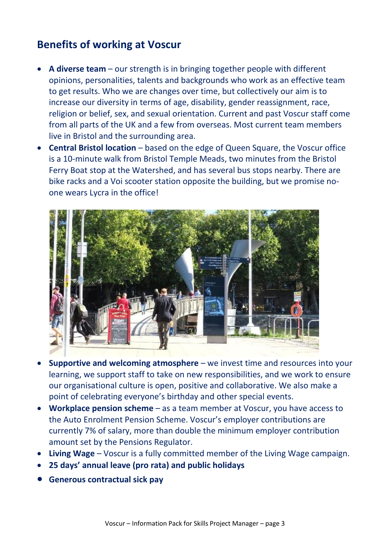### **Benefits of working at Voscur**

- **A diverse team** our strength is in bringing together people with different opinions, personalities, talents and backgrounds who work as an effective team to get results. Who we are changes over time, but collectively our aim is to increase our diversity in terms of age, disability, gender reassignment, race, religion or belief, sex, and sexual orientation. Current and past Voscur staff come from all parts of the UK and a few from overseas. Most current team members live in Bristol and the surrounding area.
- **Central Bristol location** based on the edge of Queen Square, the Voscur office is a 10-minute walk from Bristol Temple Meads, two minutes from the Bristol Ferry Boat stop at the Watershed, and has several bus stops nearby. There are bike racks and a Voi scooter station opposite the building, but we promise noone wears Lycra in the office!



- **Supportive and welcoming atmosphere** we invest time and resources into your learning, we support staff to take on new responsibilities, and we work to ensure our organisational culture is open, positive and collaborative. We also make a point of celebrating everyone's birthday and other special events.
- **Workplace pension scheme** as a team member at Voscur, you have access to the Auto Enrolment Pension Scheme. Voscur's employer contributions are currently 7% of salary, more than double the minimum employer contribution amount set by the Pensions Regulator.
- **Living Wage** Voscur is a fully committed member of the Living Wage campaign.
- **25 days' annual leave (pro rata) and public holidays**
- **Generous contractual sick pay**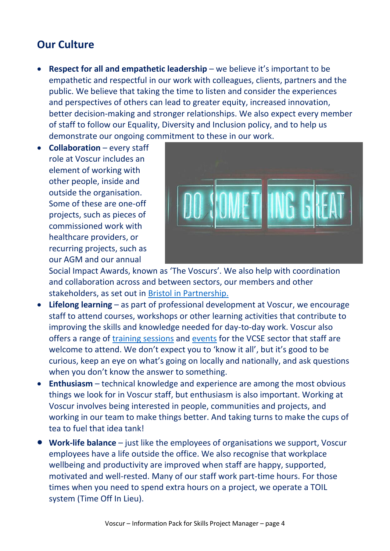### **Our Culture**

- **Respect for all and empathetic leadership** we believe it's important to be empathetic and respectful in our work with colleagues, clients, partners and the public. We believe that taking the time to listen and consider the experiences and perspectives of others can lead to greater equity, increased innovation, better decision-making and stronger relationships. We also expect every member of staff to follow our Equality, Diversity and Inclusion policy, and to help us demonstrate our ongoing commitment to these in our work.
- **Collaboration**  every staff role at Voscur includes an element of working with other people, inside and outside the organisation. Some of these are one-off projects, such as pieces of commissioned work with healthcare providers, or recurring projects, such as our AGM and our annual



Social Impact Awards, known as 'The Voscurs'. We also help with coordination and collaboration across and between sectors, our members and other stakeholders, as set out in [Bristol in Partnership.](https://issuu.com/voscur/docs/bristol_in_partnership_for_voscur.o)

- **Lifelong learning** as part of professional development at Voscur, we encourage staff to attend courses, workshops or other learning activities that contribute to improving the skills and knowledge needed for day-to-day work. Voscur also offers a range of [training sessions](https://www.voscur.org/calendar/upcoming?tid=7779&field_core_category_tid=All) and [events](https://www.voscur.org/calendar/upcoming?tid=7896&field_core_category_tid=All) for the VCSE sector that staff are welcome to attend. We don't expect you to 'know it all', but it's good to be curious, keep an eye on what's going on locally and nationally, and ask questions when you don't know the answer to something.
- **Enthusiasm**  technical knowledge and experience are among the most obvious things we look for in Voscur staff, but enthusiasm is also important. Working at Voscur involves being interested in people, communities and projects, and working in our team to make things better. And taking turns to make the cups of tea to fuel that idea tank!
- **Work-life balance** just like the employees of organisations we support, Voscur employees have a life outside the office. We also recognise that workplace wellbeing and productivity are improved when staff are happy, supported, motivated and well-rested. Many of our staff work part-time hours. For those times when you need to spend extra hours on a project, we operate a TOIL system (Time Off In Lieu).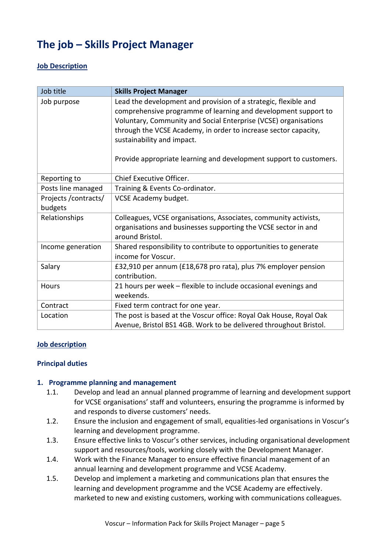# **The job – Skills Project Manager**

#### **Job Description**

| Job title                        | <b>Skills Project Manager</b>                                                                                                                                                                                                                                                                                                                                               |
|----------------------------------|-----------------------------------------------------------------------------------------------------------------------------------------------------------------------------------------------------------------------------------------------------------------------------------------------------------------------------------------------------------------------------|
| Job purpose                      | Lead the development and provision of a strategic, flexible and<br>comprehensive programme of learning and development support to<br>Voluntary, Community and Social Enterprise (VCSE) organisations<br>through the VCSE Academy, in order to increase sector capacity,<br>sustainability and impact.<br>Provide appropriate learning and development support to customers. |
| Reporting to                     | Chief Executive Officer.                                                                                                                                                                                                                                                                                                                                                    |
| Posts line managed               | Training & Events Co-ordinator.                                                                                                                                                                                                                                                                                                                                             |
| Projects / contracts/<br>budgets | VCSE Academy budget.                                                                                                                                                                                                                                                                                                                                                        |
| Relationships                    | Colleagues, VCSE organisations, Associates, community activists,<br>organisations and businesses supporting the VCSE sector in and<br>around Bristol.                                                                                                                                                                                                                       |
| Income generation                | Shared responsibility to contribute to opportunities to generate<br>income for Voscur.                                                                                                                                                                                                                                                                                      |
| Salary                           | £32,910 per annum (£18,678 pro rata), plus 7% employer pension<br>contribution.                                                                                                                                                                                                                                                                                             |
| <b>Hours</b>                     | 21 hours per week - flexible to include occasional evenings and<br>weekends.                                                                                                                                                                                                                                                                                                |
| Contract                         | Fixed term contract for one year.                                                                                                                                                                                                                                                                                                                                           |
| Location                         | The post is based at the Voscur office: Royal Oak House, Royal Oak<br>Avenue, Bristol BS1 4GB. Work to be delivered throughout Bristol.                                                                                                                                                                                                                                     |

#### **Job description**

#### **Principal duties**

#### **1. Programme planning and management**

- 1.1. Develop and lead an annual planned programme of learning and development support for VCSE organisations' staff and volunteers, ensuring the programme is informed by and responds to diverse customers' needs.
- 1.2. Ensure the inclusion and engagement of small, equalities-led organisations in Voscur's learning and development programme.
- 1.3. Ensure effective links to Voscur's other services, including organisational development support and resources/tools, working closely with the Development Manager.
- 1.4. Work with the Finance Manager to ensure effective financial management of an annual learning and development programme and VCSE Academy.
- 1.5. Develop and implement a marketing and communications plan that ensures the learning and development programme and the VCSE Academy are effectively. marketed to new and existing customers, working with communications colleagues.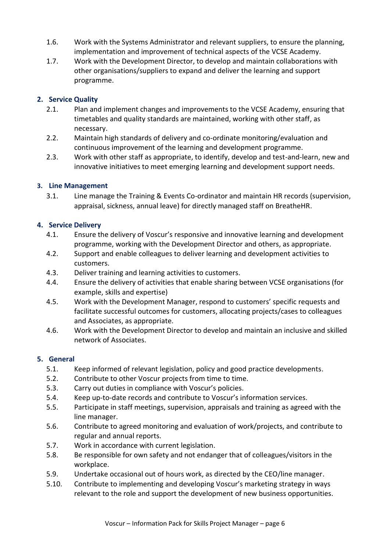- 1.6. Work with the Systems Administrator and relevant suppliers, to ensure the planning, implementation and improvement of technical aspects of the VCSE Academy.
- 1.7. Work with the Development Director, to develop and maintain collaborations with other organisations/suppliers to expand and deliver the learning and support programme.

#### **2. Service Quality**

- 2.1. Plan and implement changes and improvements to the VCSE Academy, ensuring that timetables and quality standards are maintained, working with other staff, as necessary.
- 2.2. Maintain high standards of delivery and co-ordinate monitoring/evaluation and continuous improvement of the learning and development programme.
- 2.3. Work with other staff as appropriate, to identify, develop and test-and-learn, new and innovative initiatives to meet emerging learning and development support needs.

#### **3. Line Management**

3.1. Line manage the Training & Events Co-ordinator and maintain HR records (supervision, appraisal, sickness, annual leave) for directly managed staff on BreatheHR.

#### **4. Service Delivery**

- 4.1. Ensure the delivery of Voscur's responsive and innovative learning and development programme, working with the Development Director and others, as appropriate.
- 4.2. Support and enable colleagues to deliver learning and development activities to customers.
- 4.3. Deliver training and learning activities to customers.
- 4.4. Ensure the delivery of activities that enable sharing between VCSE organisations (for example, skills and expertise)
- 4.5. Work with the Development Manager, respond to customers' specific requests and facilitate successful outcomes for customers, allocating projects/cases to colleagues and Associates, as appropriate.
- 4.6. Work with the Development Director to develop and maintain an inclusive and skilled network of Associates.

#### **5. General**

- 5.1. Keep informed of relevant legislation, policy and good practice developments.
- 5.2. Contribute to other Voscur projects from time to time.
- 5.3. Carry out duties in compliance with Voscur's policies.
- 5.4. Keep up-to-date records and contribute to Voscur's information services.
- 5.5. Participate in staff meetings, supervision, appraisals and training as agreed with the line manager.
- 5.6. Contribute to agreed monitoring and evaluation of work/projects, and contribute to regular and annual reports.
- 5.7. Work in accordance with current legislation.
- 5.8. Be responsible for own safety and not endanger that of colleagues/visitors in the workplace.
- 5.9. Undertake occasional out of hours work, as directed by the CEO/line manager.
- 5.10. Contribute to implementing and developing Voscur's marketing strategy in ways relevant to the role and support the development of new business opportunities.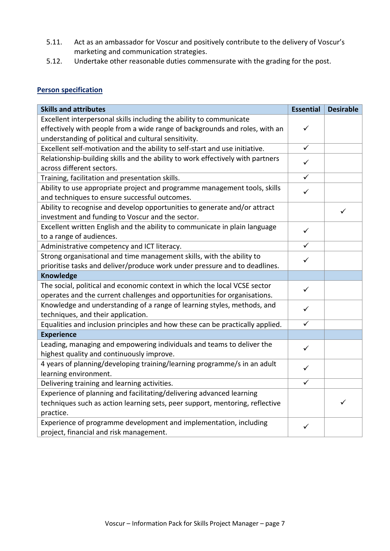- 5.11. Act as an ambassador for Voscur and positively contribute to the delivery of Voscur's marketing and communication strategies.
- 5.12. Undertake other reasonable duties commensurate with the grading for the post.

#### **Person specification**

| <b>Skills and attributes</b>                                                                                                                          | <b>Essential</b> | <b>Desirable</b> |
|-------------------------------------------------------------------------------------------------------------------------------------------------------|------------------|------------------|
| Excellent interpersonal skills including the ability to communicate                                                                                   |                  |                  |
| effectively with people from a wide range of backgrounds and roles, with an                                                                           |                  |                  |
| understanding of political and cultural sensitivity.                                                                                                  |                  |                  |
| Excellent self-motivation and the ability to self-start and use initiative.                                                                           |                  |                  |
| Relationship-building skills and the ability to work effectively with partners<br>across different sectors.                                           |                  |                  |
| Training, facilitation and presentation skills.                                                                                                       |                  |                  |
| Ability to use appropriate project and programme management tools, skills<br>and techniques to ensure successful outcomes.                            |                  |                  |
| Ability to recognise and develop opportunities to generate and/or attract<br>investment and funding to Voscur and the sector.                         |                  | ✓                |
| Excellent written English and the ability to communicate in plain language<br>to a range of audiences.                                                |                  |                  |
| Administrative competency and ICT literacy.                                                                                                           |                  |                  |
| Strong organisational and time management skills, with the ability to<br>prioritise tasks and deliver/produce work under pressure and to deadlines.   |                  |                  |
| <b>Knowledge</b>                                                                                                                                      |                  |                  |
| The social, political and economic context in which the local VCSE sector<br>operates and the current challenges and opportunities for organisations. |                  |                  |
| Knowledge and understanding of a range of learning styles, methods, and<br>techniques, and their application.                                         |                  |                  |
| Equalities and inclusion principles and how these can be practically applied.                                                                         |                  |                  |
| <b>Experience</b>                                                                                                                                     |                  |                  |
| Leading, managing and empowering individuals and teams to deliver the<br>highest quality and continuously improve.                                    |                  |                  |
| 4 years of planning/developing training/learning programme/s in an adult<br>learning environment.                                                     |                  |                  |
| Delivering training and learning activities.                                                                                                          |                  |                  |
| Experience of planning and facilitating/delivering advanced learning                                                                                  |                  |                  |
| techniques such as action learning sets, peer support, mentoring, reflective                                                                          |                  | ✓                |
| practice.                                                                                                                                             |                  |                  |
| Experience of programme development and implementation, including<br>project, financial and risk management.                                          |                  |                  |